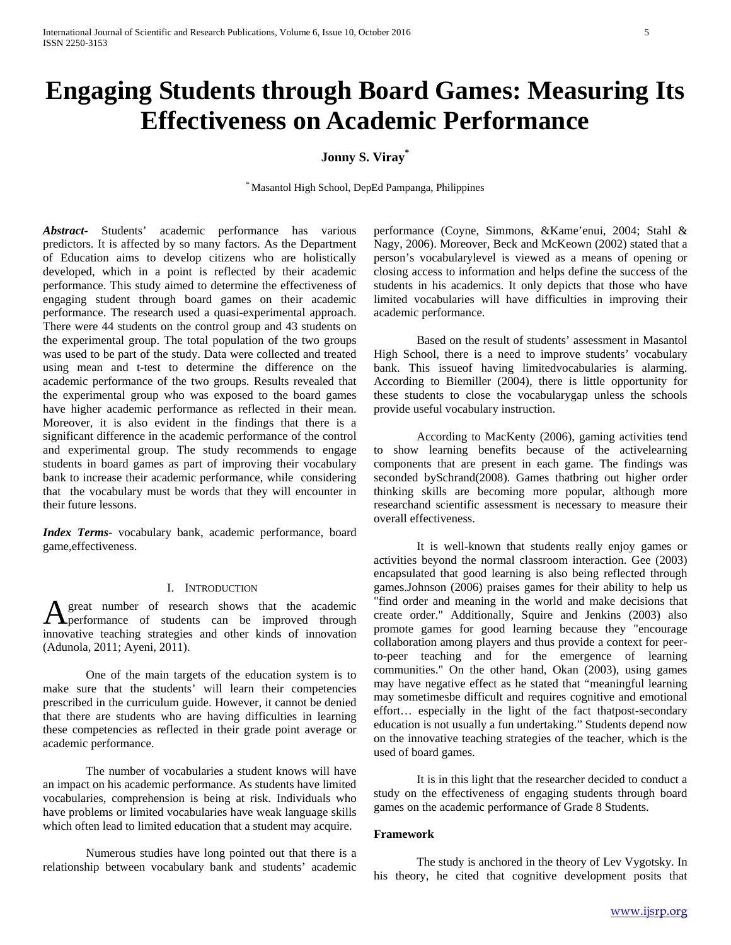# **Engaging Students through Board Games: Measuring Its Effectiveness on Academic Performance**

# **Jonny S. Viray\***

\* Masantol High School, DepEd Pampanga, Philippines

*Abstract***-** Students' academic performance has various predictors. It is affected by so many factors. As the Department of Education aims to develop citizens who are holistically developed, which in a point is reflected by their academic performance. This study aimed to determine the effectiveness of engaging student through board games on their academic performance. The research used a quasi-experimental approach. There were 44 students on the control group and 43 students on the experimental group. The total population of the two groups was used to be part of the study. Data were collected and treated using mean and t-test to determine the difference on the academic performance of the two groups. Results revealed that the experimental group who was exposed to the board games have higher academic performance as reflected in their mean. Moreover, it is also evident in the findings that there is a significant difference in the academic performance of the control and experimental group. The study recommends to engage students in board games as part of improving their vocabulary bank to increase their academic performance, while considering that the vocabulary must be words that they will encounter in their future lessons.

*Index Terms*- vocabulary bank, academic performance, board game,effectiveness.

## I. INTRODUCTION

great number of research shows that the academic A great number of research shows that the academic<br>performance of students can be improved through innovative teaching strategies and other kinds of innovation (Adunola, 2011; Ayeni, 2011).

One of the main targets of the education system is to make sure that the students' will learn their competencies prescribed in the curriculum guide. However, it cannot be denied that there are students who are having difficulties in learning these competencies as reflected in their grade point average or academic performance.

The number of vocabularies a student knows will have an impact on his academic performance. As students have limited vocabularies, comprehension is being at risk. Individuals who have problems or limited vocabularies have weak language skills which often lead to limited education that a student may acquire.

Numerous studies have long pointed out that there is a relationship between vocabulary bank and students' academic performance (Coyne, Simmons, &Kame'enui, 2004; Stahl & Nagy, 2006). Moreover, Beck and McKeown (2002) stated that a person's vocabularylevel is viewed as a means of opening or closing access to information and helps define the success of the students in his academics. It only depicts that those who have limited vocabularies will have difficulties in improving their academic performance.

Based on the result of students' assessment in Masantol High School, there is a need to improve students' vocabulary bank. This issueof having limitedvocabularies is alarming. According to Biemiller (2004), there is little opportunity for these students to close the vocabularygap unless the schools provide useful vocabulary instruction.

According to MacKenty (2006), gaming activities tend to show learning benefits because of the activelearning components that are present in each game. The findings was seconded bySchrand(2008). Games thatbring out higher order thinking skills are becoming more popular, although more researchand scientific assessment is necessary to measure their overall effectiveness.

It is well-known that students really enjoy games or activities beyond the normal classroom interaction. Gee (2003) encapsulated that good learning is also being reflected through games.Johnson (2006) praises games for their ability to help us "find order and meaning in the world and make decisions that create order." Additionally, Squire and Jenkins (2003) also promote games for good learning because they "encourage collaboration among players and thus provide a context for peerto-peer teaching and for the emergence of learning communities." On the other hand, Okan (2003), using games may have negative effect as he stated that "meaningful learning may sometimesbe difficult and requires cognitive and emotional effort… especially in the light of the fact thatpost-secondary education is not usually a fun undertaking." Students depend now on the innovative teaching strategies of the teacher, which is the used of board games.

It is in this light that the researcher decided to conduct a study on the effectiveness of engaging students through board games on the academic performance of Grade 8 Students.

#### **Framework**

The study is anchored in the theory of Lev Vygotsky. In his theory, he cited that cognitive development posits that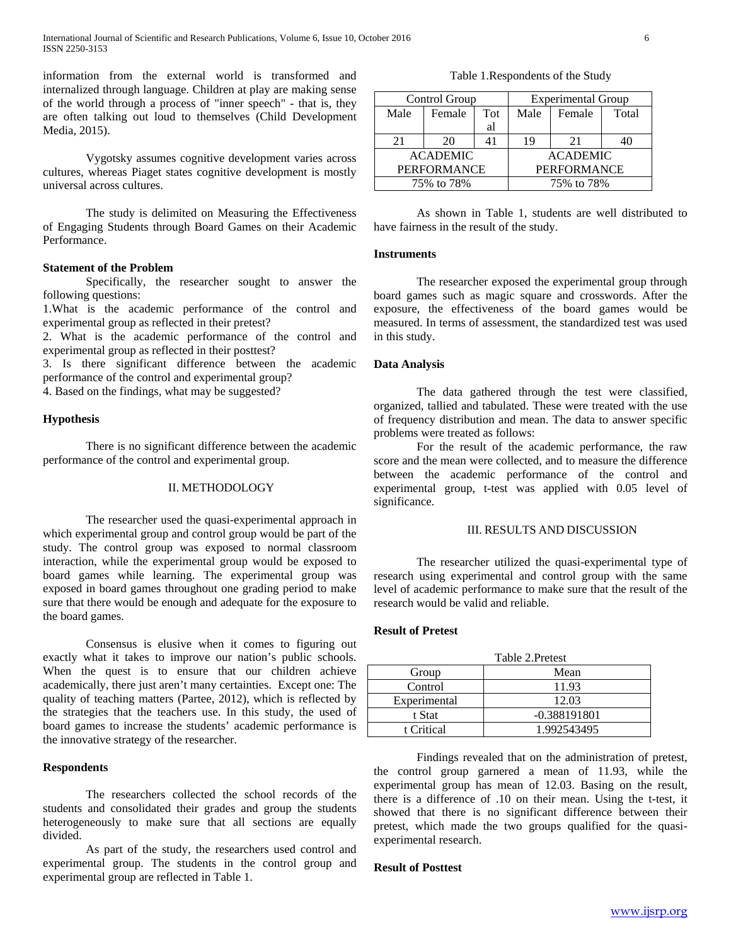information from the external world is transformed and internalized through language. Children at play are making sense of the world through a process of "inner speech" - that is, they are often talking out loud to themselves (Child Development Media, 2015).

Vygotsky assumes cognitive development varies across cultures, whereas Piaget states cognitive development is mostly universal across cultures.

The study is delimited on Measuring the Effectiveness of Engaging Students through Board Games on their Academic Performance.

## **Statement of the Problem**

Specifically, the researcher sought to answer the following questions:

1.What is the academic performance of the control and experimental group as reflected in their pretest?

2. What is the academic performance of the control and experimental group as reflected in their posttest?

3. Is there significant difference between the academic performance of the control and experimental group?

4. Based on the findings, what may be suggested?

## **Hypothesis**

There is no significant difference between the academic performance of the control and experimental group.

#### II. METHODOLOGY

The researcher used the quasi-experimental approach in which experimental group and control group would be part of the study. The control group was exposed to normal classroom interaction, while the experimental group would be exposed to board games while learning. The experimental group was exposed in board games throughout one grading period to make sure that there would be enough and adequate for the exposure to the board games.

Consensus is elusive when it comes to figuring out exactly what it takes to improve our nation's public schools. When the quest is to ensure that our children achieve academically, there just aren't many certainties. Except one: The quality of teaching matters (Partee, 2012), which is reflected by the strategies that the teachers use. In this study, the used of board games to increase the students' academic performance is the innovative strategy of the researcher.

## **Respondents**

The researchers collected the school records of the students and consolidated their grades and group the students heterogeneously to make sure that all sections are equally divided.

As part of the study, the researchers used control and experimental group. The students in the control group and experimental group are reflected in Table 1.

Table 1.Respondents of the Study

| Control Group      |        |     | <b>Experimental Group</b> |        |       |
|--------------------|--------|-----|---------------------------|--------|-------|
| Male               | Female | Tot | Male                      | Female | Total |
|                    |        | al  |                           |        |       |
| 21                 | 20     | 41  | 19                        | 21     |       |
| <b>ACADEMIC</b>    |        |     | <b>ACADEMIC</b>           |        |       |
| <b>PERFORMANCE</b> |        |     | <b>PERFORMANCE</b>        |        |       |
| 75% to 78%         |        |     | 75% to 78%                |        |       |

As shown in Table 1, students are well distributed to have fairness in the result of the study.

## **Instruments**

The researcher exposed the experimental group through board games such as magic square and crosswords. After the exposure, the effectiveness of the board games would be measured. In terms of assessment, the standardized test was used in this study.

## **Data Analysis**

The data gathered through the test were classified, organized, tallied and tabulated. These were treated with the use of frequency distribution and mean. The data to answer specific problems were treated as follows:

For the result of the academic performance, the raw score and the mean were collected, and to measure the difference between the academic performance of the control and experimental group, t-test was applied with 0.05 level of significance.

#### III. RESULTS AND DISCUSSION

The researcher utilized the quasi-experimental type of research using experimental and control group with the same level of academic performance to make sure that the result of the research would be valid and reliable.

## **Result of Pretest**

|              | Table 2. Pretest |  |  |
|--------------|------------------|--|--|
| Group        | Mean             |  |  |
| Control      | 11.93            |  |  |
| Experimental | 12.03            |  |  |
| t Stat       | $-0.388191801$   |  |  |
| t Critical   | 1.992543495      |  |  |

Findings revealed that on the administration of pretest, the control group garnered a mean of 11.93, while the experimental group has mean of 12.03. Basing on the result, there is a difference of .10 on their mean. Using the t-test, it showed that there is no significant difference between their pretest, which made the two groups qualified for the quasiexperimental research.

## **Result of Posttest**